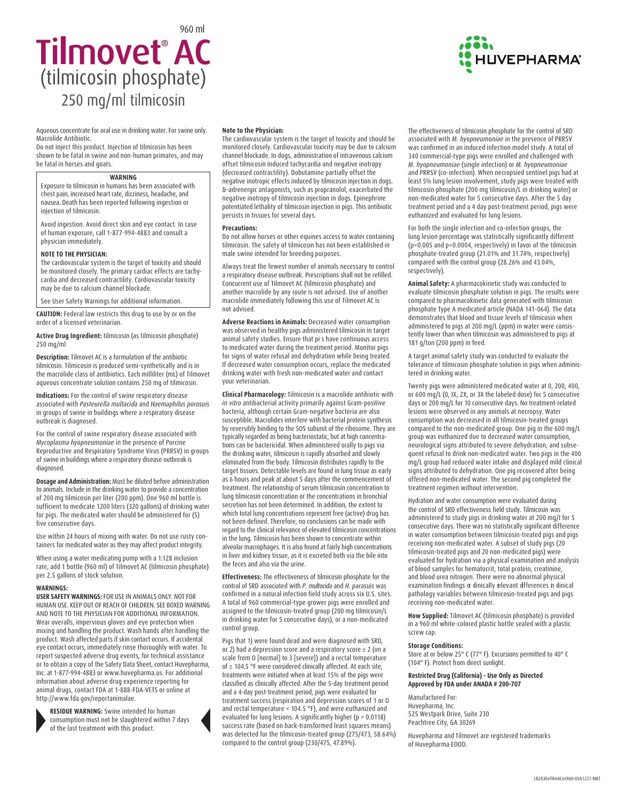# 960 ml**Tilmovet AC** (tilmicosin phosphate) 250 mg/ml tilmicosin

Aqueous concentrate for oral use in drinking water. For swine only. Macrolide Antibiotic.

Do not inject this product. Injection of tilmicosin has been shown to be fatal in swine and non-human primates, and may be fatal in horses and goats.

# **WARNING**

Exposure to tilmicosin in humans has been associated with chest pain, increased heart rate, dizziness, headache, and nausea. Death has been reported following ingestion or injection of tilmicosin.

Avoid ingestion. Avoid direct skin and eye contact. In case of human exposure, call 1-877-994-4883 and consult a physician immediately.

### **NOTE TO THE PHYSICIAN:**

The cardiovascular system is the target of toxicity and should be monitored closely. The primary cardiac effects are tachycardia and decreased contractility. Cardiovascular toxicity may be due to calcium channel blockade.

See User Safety Warnings for additional information.

**CAUTION:** Federal law restricts this drug to use by or on the order of a licensed veterinarian.

**Active Drug Ingredient:** tilmicosin (as tilmicosin phosphate) 250 mg/ml

**Description:** Tilmovet AC is a formulation of the antibiotic tilmicosin. Tilmicosin is produced semi-synthetically and is in the macrolide class of antibiotics. Each milliliter (mL) of Tilmovet aqueous concentrate solution contains 250 mg of tilmicosin.

**Indications:** For the control of swine respiratory disease associated with *Pasteurella multacida* and *Haemaphilus porosuis* in groups of swine in buildings where a respiratory disease outbreak is diagnosed.

For the control of swine respiratory disease associated with *Mycoplasma hyopneumoniae* in the presence of Porcine Reproductive and Respiratory Syndrome Virus (PRRSV) in groups of swine in buildings where a respiratory disease outbreak is diagnosed.

**Dosage and Administration:** Must be diluted before administration to animals. Include in the drinking water to provide a concentration of 200 mg tilmicosin per liter (200 ppm). One 960 ml bottle is sufficient to medicate 1200 liters (320 gallons) of drinking water for pigs. The medicated water should be administered for (5) five consecutive days.

Use within 24 hours of mixing with water. Do not use rusty containers for medicated water as they may affect product integrity.

When using a water medicating pump with a 1:128 inclusion rate, add 1 bottle (960 ml) of Tilmovet AC (tilmicosin phosphate) per 2.5 gallons of stock solution.

#### **WARNINGS:**

**USER SAFETY WARNINGS:** FOR USE IN ANIMALS ONLY. NOT FOR HUMAN USE. KEEP OUT OF REACH OF CHILDREN. SEE BOXED WARNING AND NOTE TO THE PHYSICIAN FOR ADDITIONAL INFORMATION. Wear overalls, impervious gloves and eye protection when mixing and handling the product. Wash hands after handling the product. Wash affected parts if skin contact occurs. If accidental eye contact occurs, immediately rinse thoroughly with water. To report suspected adverse drug events, for technical assistance or to obtain a copy of the Safety Data Sheet, contact Huvepharma, Inc. at 1-877-994-4883 or www.huvepharma.us. For additional information about adverse drug experience reporting for animal drugs, contact FDA at 1-888-FDA-VETS or online at http://www.fda.gov/reportanimalae.



**RESIDUE WARNING:** Swine intended for human consumption must not be slaughtered within 7 days of the last treatment with this product.

### **Note to the Physician:**

The cardiovascular system is the target of toxicity and should be monitored closely. Cardiovascular toxicity may be due to calcium channel blockade. In dogs, administration of intravenous calcium offset tilmicosin induced tachycardia and negative inotropy (decreased contractility). Dobutamine partially offset the negative inotropic effects induced by tilmicosin injection in dogs. &-adrenergic antagonists, such as propranolol, exacerbated the negative inotropy of tilmicosin injection in dogs. Epinephrine potentiated lethality of tilmicosin injection in pigs. This antibiotic persists in tissues for several days.

#### **Precautions:**

Do not allow horses or other equines access to water containing tilmicosin. The safety of tilmicosin has not been established in male swine intended for breeding purposes.

Always treat the fewest number of animals necessary to control a respiratory disease outbreak. Prescriptions shall not be refilled. Concurrent use of Tilmovet AC (tilmicosin phosphate) and another macrolide by any route is not advised. Use of another macrolide immediately following this use of Tilmovet AC is not advised.

**Adverse Reactions in Animals:** Decreased water consumption was observed in healthy pigs administered tilmicosin in target animal safety studies. Ensure that pi s have continuous access to medicated water during the treatment period. Monitor pigs for signs of water refusal and dehydration while being treated. If decreased water consumption occurs, replace the medicated drinking water with fresh non-medicated water and contact your veterinarian.

**Clinical Pharmacology:** Tilmicosin is a macrolide antibiotic with *in vitro* antibacterial activity primarily against Gram-positive bacteria, although certain Gram-negative bacteria are also susceptible. Macrolides interfere with bacterial protein synthesis by reversibly binding to the 5OS subunit of the ribosome. They are typically regarded as being bacteriostatic, but at high concentrations can be bactericidal. When administered orally to pigs via the drinking water, tilmicosin is rapidly absorbed and slowly eliminated from the body. Tilmicosin distributes rapidly to the target tissues. Detectable levels are found in lung tissue as early as 6 hours and peak at about 5 days after the commencement of treatment. The relationship of serum tilmicosin concentration to lung tilmicosin concentration or the concentrations in bronchial secretion has not been determined. In addition, the extent to which total lung concentrations represent free (active) drug has not been defined. Therefore, no conclusions can be made with regard to the clinical relevance of elevated tilmicosin concentrations in the lung. Tilmicosin has been shown to concentrate within alveolar macrophages. It is also found at fairly high concentrations in liver and kidney tissue, as it is excreted both via the bile into the feces and also via the urine.

**Effectiveness:** The effectiveness of tilmicosin phosphate for the control of SRD associated with *P. multocida* and *H. parasuis* was confirmed in a natural infection field study across six U.S. sites. A total of 960 commercial-type grower pigs were enrolled and assigned to the tilmicosin-treated group (200 mg tilmicosin/L in drinking water for 5 consecutive days), or a non-medicated control group.

Pigs that 1) were found dead and were diagnosed with SRD, or 2) had a depression score and a respiratory score ≥ 2 (on a scale from O [normal] to 3 [severe]) and a rectal temperature of ≥ 104.5 °F were considered clinically affected. At each site, treatments were initiated when at least 15% of the pigs were classified as clinically affected. After the 5-day treatment period and a 4-day post-treatment period, pigs were evaluated for treatment success (respiration and depression scores of 1 or O and rectal temperature < 104.5 °F), and were euthanized and evaluated for lung lesions. A significantly higher ( $p = 0.0118$ ) success rate (based on back-transformed least squares means) was detected for the tilmicosin-treated group (275/473, 58.64%) compared to the control group (230/475, 47.89%).

The effectiveness of tilmicosin phosphate for the control of SRD associated with *M. hyopneumoniae* in the presence of PRRSV was confirmed in an induced infection model study. A total of 340 commercial-type pigs were enrolled and challenged with *M. hyopneumoniae* (single infection) or *M. hyopneumoniae* and PRRSV (co-infection). When necropsied sentinel pigs had at least 5% lung lesion involvement, study pigs were treated with tilmicosin phosphate (200 mg tilmicosin/L in drinking water) or non-medicated water for 5 consecutive days. After the 5 day treatment period and a 4 day post-treatment period, pigs were euthanized and evaluated for lung lesions.

For both the single infection and co-infection groups, the lung lesion percentage was statistically significantly different (p=0.005 and p=0.0004, respectively) in favor of the tilmicosin phosphate-treated group (21.01% and 31.74%, respectively) compared with the control group (28.26% and 43.04%, respectively).

**Animal Safety:** A pharmacokinetic study was conducted to evaluate tilmicosin phosphate solution in pigs. The results were compared to pharmacokinetic data generated with tilmicosin phosphate Type A medicated article (NADA 141-064). The data demonstrates that blood and tissue levels of tilmicosin when administered to pigs at 200 mg/L (ppm) in water were consistently lower than when tilmicosin was administered to pigs at 181 g/ton (200 ppm) in feed.

A target animal safety study was conducted to evaluate the tolerance of tilmicosin phosphate solution in pigs when administered in drinking water.

Twenty pigs were administered medicated water at 0, 200, 400, or 600 mg/L (0, IX, 2X, or 3X the labeled dose) for 5 consecutive days or 200 mg/L for 10 consecutive days. No treatment-related lesions were observed in any animals at necropsy. Water consumption was decreased in all tilmicosin-treated groups compared to the non-medicated group. One pig in the 600 mg/L group was euthanized due to decreased water consumption, neurological signs attributed to severe dehydration, and subsequent refusal to drink non-medicated water. Two pigs in the 400 mg/L group had reduced water intake and displayed mild clinical signs attributed to dehydration. One pig recovered after being offered non-medicated water. The second pig completed the treatment regimen without intervention.

Hydration and water consumption were evaluated during the control of SRD effectiveness field study. Tilmicosin was administered to study pigs in drinking water at 200 mg/I for 5 consecutive days. There was no statistically significant difference in water consumption between tilmicosin-treated pigs and pigs receiving non-medicated water. A subset of study pigs (20 tilmicosin-treated pigs and 20 non-medicated pigs) were evaluated for hydration via a physical examination and analysis of blood samples for hematocrit, total protein, creatinine, and blood urea nitrogen. There were no abnormal physical examination findings or dinically relevant differences in dinical pathology variables between tilmicosin-treated pigs and pigs receiving non-medicated water.

**How Supplied:** Tilmovet AC (tilmicosin phosphate) is provided in a 960 ml white-colored plastic bottle sealed with a plastic screw cap.

#### **Storage Conditions:**

Store at or below 25° C (77° F). Excursions permitted to 40° C (104° F). Protect from direct sunlight.

# **Restricted Drug (California) - Use Only as Directed Approved by FDA under ANADA # 200-707**

Manufactured For: Huvepharma, Inc. 525 Westpark Drive, Suite 230 Peachtree City, GA 30269

Huvepharma and Tilmovet are registered trademarks of Huvepharma EOOD.